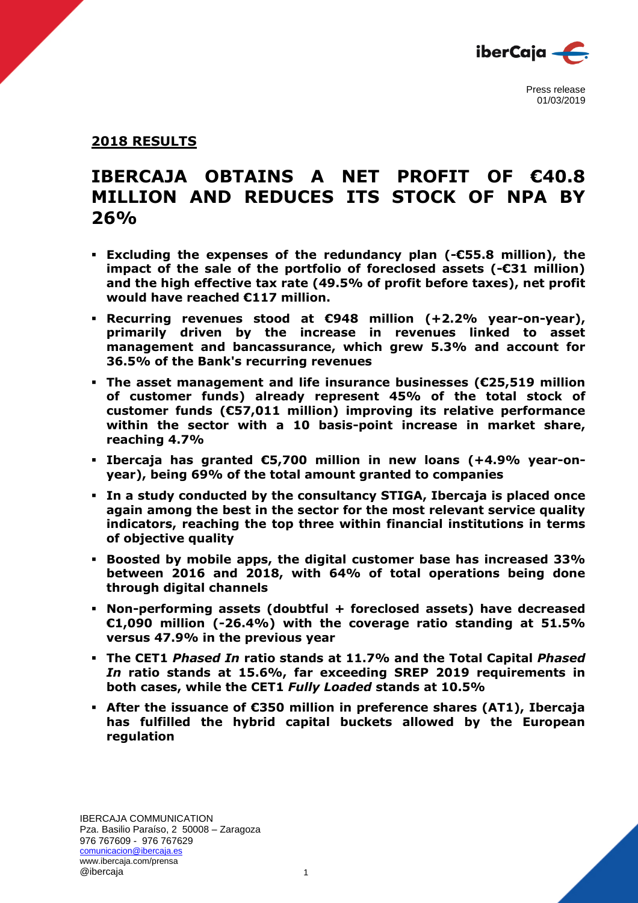

## **2018 RESULTS**

# **IBERCAJA OBTAINS A NET PROFIT OF €40.8 MILLION AND REDUCES ITS STOCK OF NPA BY 26%**

- **Excluding the expenses of the redundancy plan (-€55.8 million), the impact of the sale of the portfolio of foreclosed assets (-€31 million) and the high effective tax rate (49.5% of profit before taxes), net profit would have reached €117 million.**
- **Recurring revenues stood at €948 million (+2.2% year-on-year), primarily driven by the increase in revenues linked to asset management and bancassurance, which grew 5.3% and account for 36.5% of the Bank's recurring revenues**
- **The asset management and life insurance businesses (€25,519 million of customer funds) already represent 45% of the total stock of customer funds (€57,011 million) improving its relative performance within the sector with a 10 basis-point increase in market share, reaching 4.7%**
- **Ibercaja has granted €5,700 million in new loans (+4.9% year-onyear), being 69% of the total amount granted to companies**
- **In a study conducted by the consultancy STIGA, Ibercaja is placed once again among the best in the sector for the most relevant service quality indicators, reaching the top three within financial institutions in terms of objective quality**
- **Boosted by mobile apps, the digital customer base has increased 33% between 2016 and 2018, with 64% of total operations being done through digital channels**
- **Non-performing assets (doubtful + foreclosed assets) have decreased €1,090 million (-26.4%) with the coverage ratio standing at 51.5% versus 47.9% in the previous year**
- **The CET1** *Phased In* **ratio stands at 11.7% and the Total Capital** *Phased In* **ratio stands at 15.6%, far exceeding SREP 2019 requirements in both cases, while the CET1** *Fully Loaded* **stands at 10.5%**
- **After the issuance of €350 million in preference shares (AT1), Ibercaja has fulfilled the hybrid capital buckets allowed by the European regulation**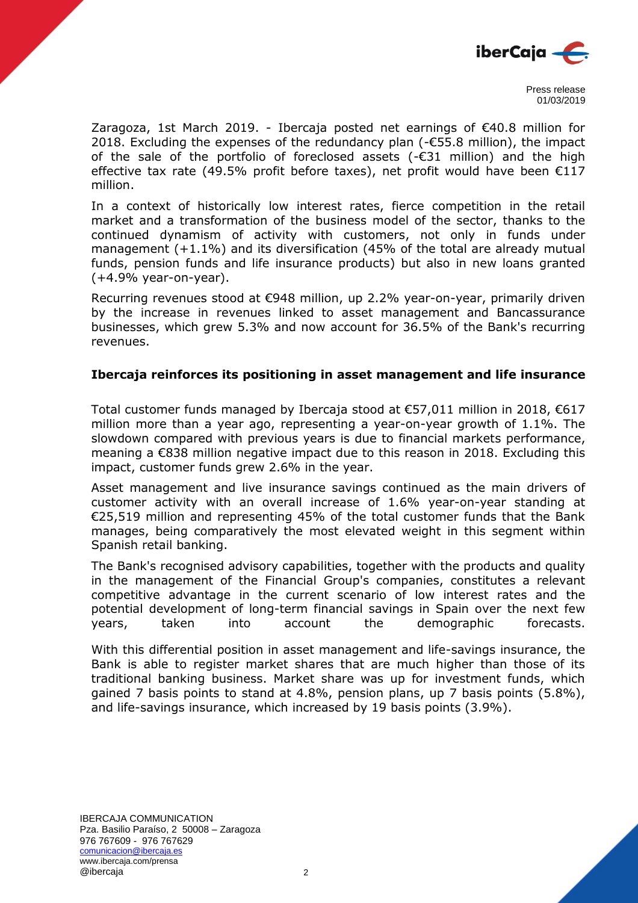

Zaragoza, 1st March 2019. - Ibercaja posted net earnings of  $\epsilon$ 40.8 million for 2018. Excluding the expenses of the redundancy plan (-€55.8 million), the impact of the sale of the portfolio of foreclosed assets (-€31 million) and the high effective tax rate (49.5% profit before taxes), net profit would have been €117 million.

In a context of historically low interest rates, fierce competition in the retail market and a transformation of the business model of the sector, thanks to the continued dynamism of activity with customers, not only in funds under management (+1.1%) and its diversification (45% of the total are already mutual funds, pension funds and life insurance products) but also in new loans granted (+4.9% year-on-year).

Recurring revenues stood at €948 million, up 2.2% year-on-year, primarily driven by the increase in revenues linked to asset management and Bancassurance businesses, which grew 5.3% and now account for 36.5% of the Bank's recurring revenues.

#### **Ibercaja reinforces its positioning in asset management and life insurance**

Total customer funds managed by Ibercaja stood at €57,011 million in 2018, €617 million more than a year ago, representing a year-on-year growth of 1.1%. The slowdown compared with previous years is due to financial markets performance, meaning a €838 million negative impact due to this reason in 2018. Excluding this impact, customer funds grew 2.6% in the year.

Asset management and live insurance savings continued as the main drivers of customer activity with an overall increase of 1.6% year-on-year standing at €25,519 million and representing 45% of the total customer funds that the Bank manages, being comparatively the most elevated weight in this segment within Spanish retail banking.

The Bank's recognised advisory capabilities, together with the products and quality in the management of the Financial Group's companies, constitutes a relevant competitive advantage in the current scenario of low interest rates and the potential development of long-term financial savings in Spain over the next few years, taken into account the demographic forecasts.

With this differential position in asset management and life-savings insurance, the Bank is able to register market shares that are much higher than those of its traditional banking business. Market share was up for investment funds, which gained 7 basis points to stand at 4.8%, pension plans, up 7 basis points (5.8%), and life-savings insurance, which increased by 19 basis points (3.9%).

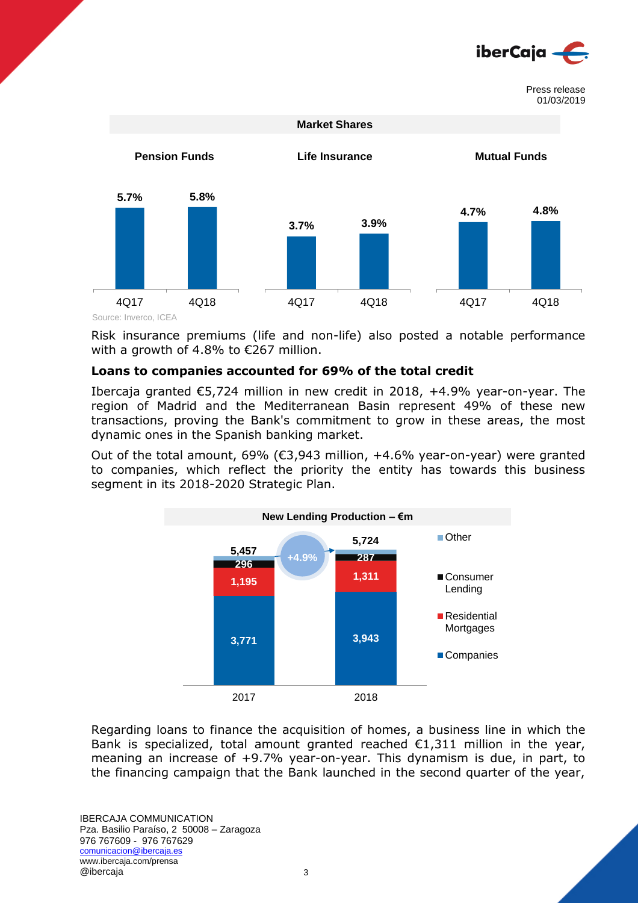



Source: Inverco, ICEA

Risk insurance premiums (life and non-life) also posted a notable performance with a growth of 4.8% to €267 million.

#### **Loans to companies accounted for 69% of the total credit**

Ibercaja granted €5,724 million in new credit in 2018, +4.9% year-on-year. The region of Madrid and the Mediterranean Basin represent 49% of these new transactions, proving the Bank's commitment to grow in these areas, the most dynamic ones in the Spanish banking market.

Out of the total amount, 69% (€3,943 million, +4.6% year-on-year) were granted to companies, which reflect the priority the entity has towards this business segment in its 2018-2020 Strategic Plan.



Regarding loans to finance the acquisition of homes, a business line in which the Bank is specialized, total amount granted reached  $\epsilon$ 1,311 million in the year, meaning an increase of +9.7% year-on-year. This dynamism is due, in part, to the financing campaign that the Bank launched in the second quarter of the year,

IBERCAJA COMMUNICATION Pza. Basilio Paraíso, 2 50008 – Zaragoza 976 767609 - 976 767629 comunicacion@ibercaja.es www.ibercaja.com/prensa @ibercaja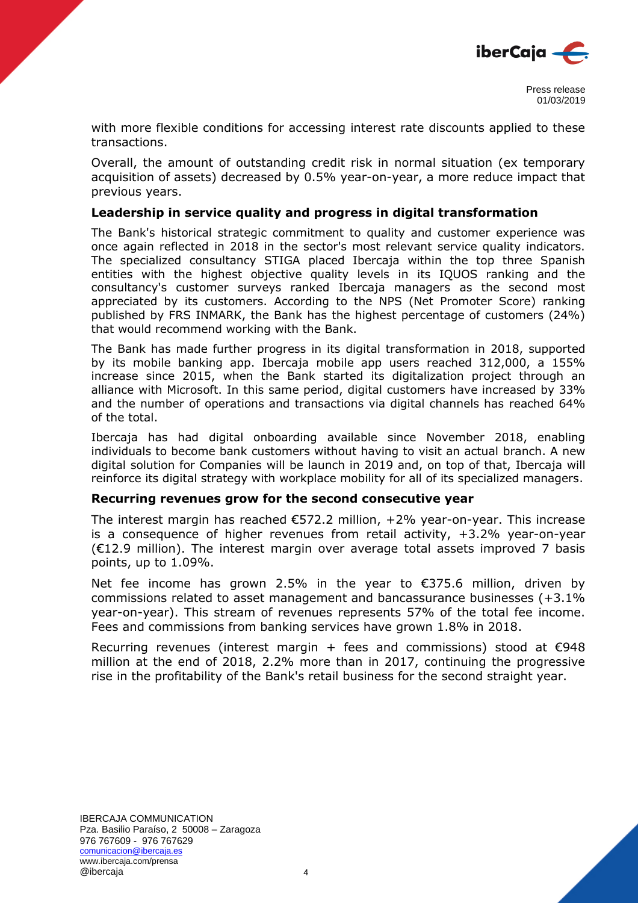

with more flexible conditions for accessing interest rate discounts applied to these transactions.

Overall, the amount of outstanding credit risk in normal situation (ex temporary acquisition of assets) decreased by 0.5% year-on-year, a more reduce impact that previous years.

#### **Leadership in service quality and progress in digital transformation**

The Bank's historical strategic commitment to quality and customer experience was once again reflected in 2018 in the sector's most relevant service quality indicators. The specialized consultancy STIGA placed Ibercaja within the top three Spanish entities with the highest objective quality levels in its IQUOS ranking and the consultancy's customer surveys ranked Ibercaja managers as the second most appreciated by its customers. According to the NPS (Net Promoter Score) ranking published by FRS INMARK, the Bank has the highest percentage of customers (24%) that would recommend working with the Bank.

The Bank has made further progress in its digital transformation in 2018, supported by its mobile banking app. Ibercaja mobile app users reached 312,000, a 155% increase since 2015, when the Bank started its digitalization project through an alliance with Microsoft. In this same period, digital customers have increased by 33% and the number of operations and transactions via digital channels has reached 64% of the total.

Ibercaja has had digital onboarding available since November 2018, enabling individuals to become bank customers without having to visit an actual branch. A new digital solution for Companies will be launch in 2019 and, on top of that, Ibercaja will reinforce its digital strategy with workplace mobility for all of its specialized managers.

#### **Recurring revenues grow for the second consecutive year**

The interest margin has reached  $\epsilon$ 572.2 million,  $+2\%$  year-on-year. This increase is a consequence of higher revenues from retail activity, +3.2% year-on-year (€12.9 million). The interest margin over average total assets improved 7 basis points, up to 1.09%.

Net fee income has grown 2.5% in the year to  $\epsilon$ 375.6 million, driven by commissions related to asset management and bancassurance businesses (+3.1% year-on-year). This stream of revenues represents 57% of the total fee income. Fees and commissions from banking services have grown 1.8% in 2018.

Recurring revenues (interest margin + fees and commissions) stood at  $€948$ million at the end of 2018, 2.2% more than in 2017, continuing the progressive rise in the profitability of the Bank's retail business for the second straight year.

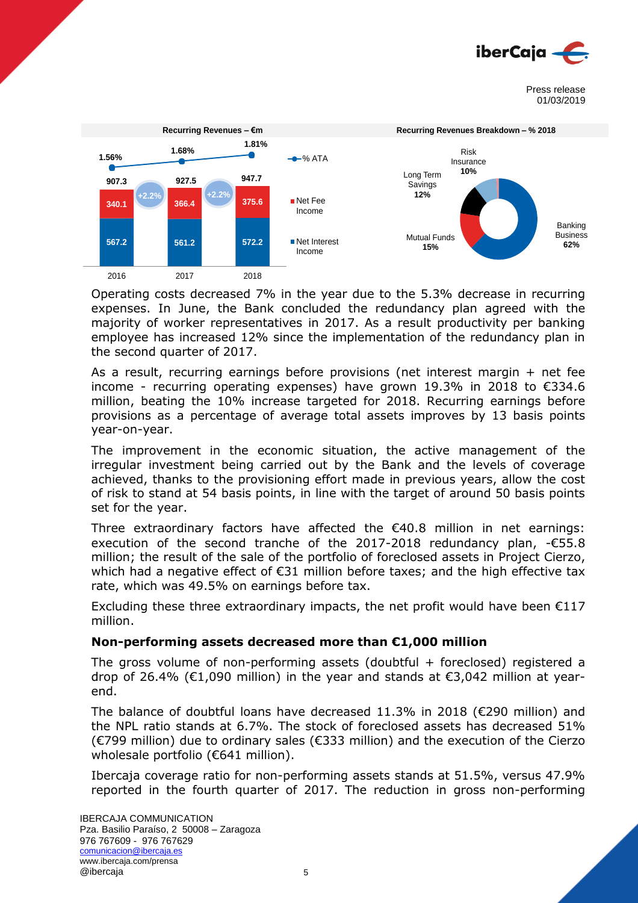



Operating costs decreased 7% in the year due to the 5.3% decrease in recurring expenses. In June, the Bank concluded the redundancy plan agreed with the majority of worker representatives in 2017. As a result productivity per banking employee has increased 12% since the implementation of the redundancy plan in the second quarter of 2017.

As a result, recurring earnings before provisions (net interest margin + net fee income - recurring operating expenses) have grown 19.3% in 2018 to €334.6 million, beating the 10% increase targeted for 2018. Recurring earnings before provisions as a percentage of average total assets improves by 13 basis points year-on-year.

The improvement in the economic situation, the active management of the irregular investment being carried out by the Bank and the levels of coverage achieved, thanks to the provisioning effort made in previous years, allow the cost of risk to stand at 54 basis points, in line with the target of around 50 basis points set for the year.

Three extraordinary factors have affected the €40.8 million in net earnings: execution of the second tranche of the 2017-2018 redundancy plan, -€55.8 million; the result of the sale of the portfolio of foreclosed assets in Project Cierzo, which had a negative effect of  $\epsilon$ 31 million before taxes; and the high effective tax rate, which was 49.5% on earnings before tax.

Excluding these three extraordinary impacts, the net profit would have been  $E117$ million.

## **Non-performing assets decreased more than €1,000 million**

The gross volume of non-performing assets (doubtful  $+$  foreclosed) registered a drop of 26.4% (€1,090 million) in the year and stands at  $\epsilon$ 3,042 million at yearend.

The balance of doubtful loans have decreased 11.3% in 2018 (€290 million) and the NPL ratio stands at 6.7%. The stock of foreclosed assets has decreased 51% (€799 million) due to ordinary sales (€333 million) and the execution of the Cierzo wholesale portfolio (€641 million).

Ibercaja coverage ratio for non-performing assets stands at 51.5%, versus 47.9% reported in the fourth quarter of 2017. The reduction in gross non-performing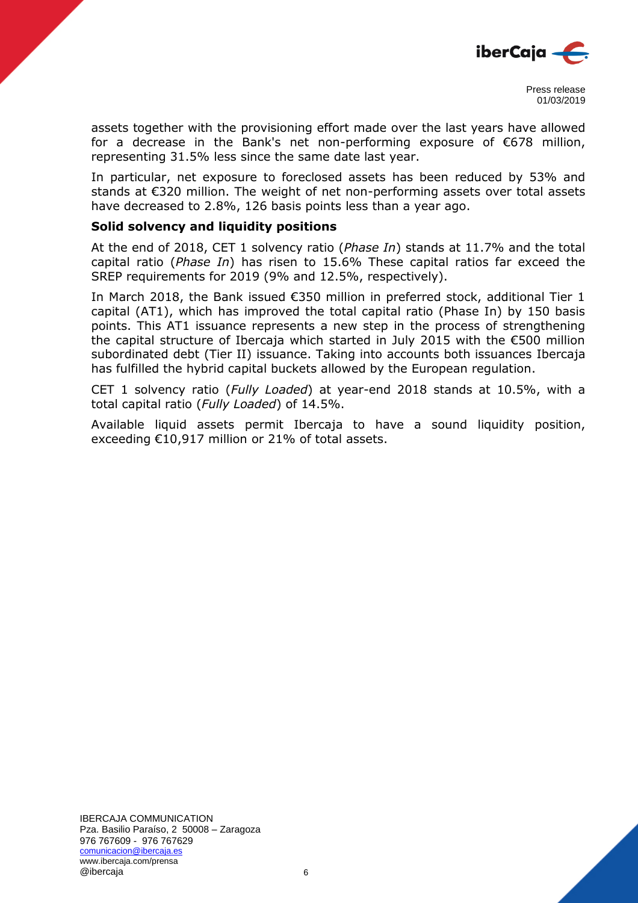

assets together with the provisioning effort made over the last years have allowed for a decrease in the Bank's net non-performing exposure of €678 million, representing 31.5% less since the same date last year.

In particular, net exposure to foreclosed assets has been reduced by 53% and stands at €320 million. The weight of net non-performing assets over total assets have decreased to 2.8%, 126 basis points less than a year ago.

#### **Solid solvency and liquidity positions**

At the end of 2018, CET 1 solvency ratio (*Phase In*) stands at 11.7% and the total capital ratio (*Phase In*) has risen to 15.6% These capital ratios far exceed the SREP requirements for 2019 (9% and 12.5%, respectively).

In March 2018, the Bank issued €350 million in preferred stock, additional Tier 1 capital (AT1), which has improved the total capital ratio (Phase In) by 150 basis points. This AT1 issuance represents a new step in the process of strengthening the capital structure of Ibercaja which started in July 2015 with the €500 million subordinated debt (Tier II) issuance. Taking into accounts both issuances Ibercaja has fulfilled the hybrid capital buckets allowed by the European regulation.

CET 1 solvency ratio (*Fully Loaded*) at year-end 2018 stands at 10.5%, with a total capital ratio (*Fully Loaded*) of 14.5%.

Available liquid assets permit Ibercaja to have a sound liquidity position, exceeding €10,917 million or 21% of total assets.